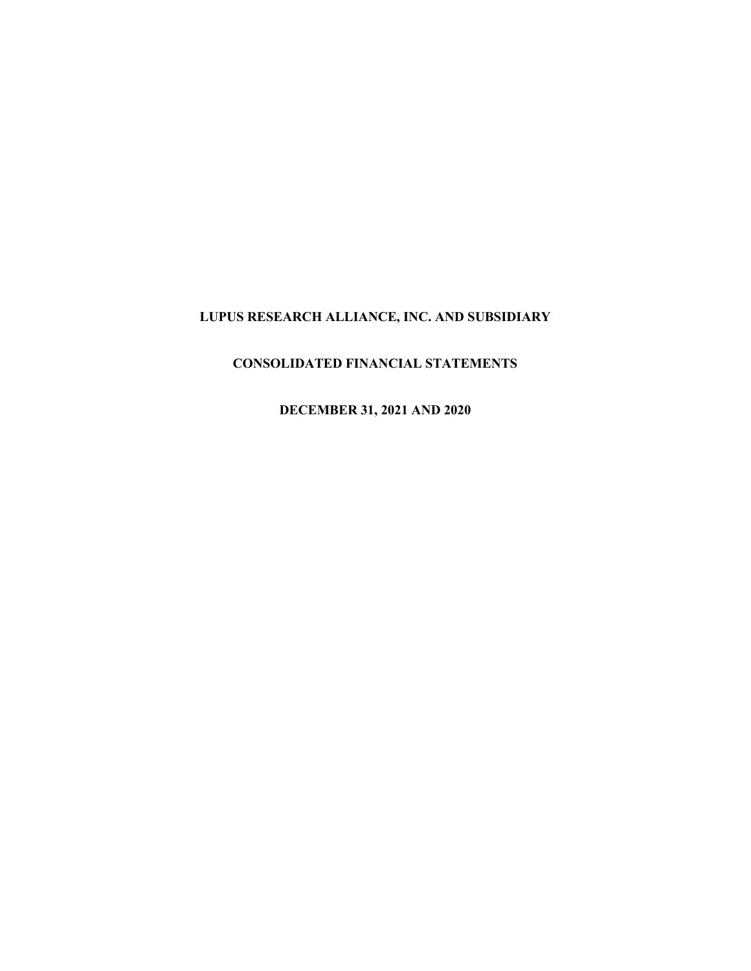# **CONSOLIDATED FINANCIAL STATEMENTS**

**DECEMBER 31, 2021 AND 2020**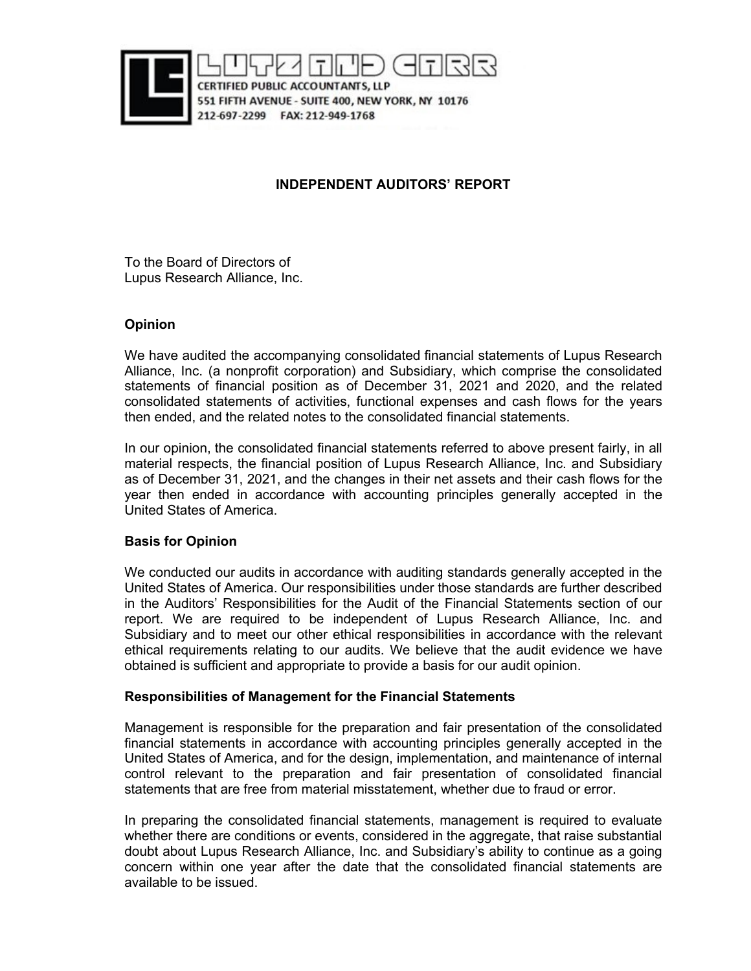

CERTIFIED PUBLIC ACCOUNTANTS, LLP 551 FIFTH AVENUE - SUITE 400, NEW YORK, NY 10176 212-697-2299 FAX: 212-949-1768

# **INDEPENDENT AUDITORS' REPORT**

To the Board of Directors of Lupus Research Alliance, Inc.

# **Opinion**

We have audited the accompanying consolidated financial statements of Lupus Research Alliance, Inc. (a nonprofit corporation) and Subsidiary, which comprise the consolidated statements of financial position as of December 31, 2021 and 2020, and the related consolidated statements of activities, functional expenses and cash flows for the years then ended, and the related notes to the consolidated financial statements.

In our opinion, the consolidated financial statements referred to above present fairly, in all material respects, the financial position of Lupus Research Alliance, Inc. and Subsidiary as of December 31, 2021, and the changes in their net assets and their cash flows for the year then ended in accordance with accounting principles generally accepted in the United States of America.

# **Basis for Opinion**

We conducted our audits in accordance with auditing standards generally accepted in the United States of America. Our responsibilities under those standards are further described in the Auditors' Responsibilities for the Audit of the Financial Statements section of our report. We are required to be independent of Lupus Research Alliance, Inc. and Subsidiary and to meet our other ethical responsibilities in accordance with the relevant ethical requirements relating to our audits. We believe that the audit evidence we have obtained is sufficient and appropriate to provide a basis for our audit opinion.

# **Responsibilities of Management for the Financial Statements**

Management is responsible for the preparation and fair presentation of the consolidated financial statements in accordance with accounting principles generally accepted in the United States of America, and for the design, implementation, and maintenance of internal control relevant to the preparation and fair presentation of consolidated financial statements that are free from material misstatement, whether due to fraud or error.

In preparing the consolidated financial statements, management is required to evaluate whether there are conditions or events, considered in the aggregate, that raise substantial doubt about Lupus Research Alliance, Inc. and Subsidiary's ability to continue as a going concern within one year after the date that the consolidated financial statements are available to be issued.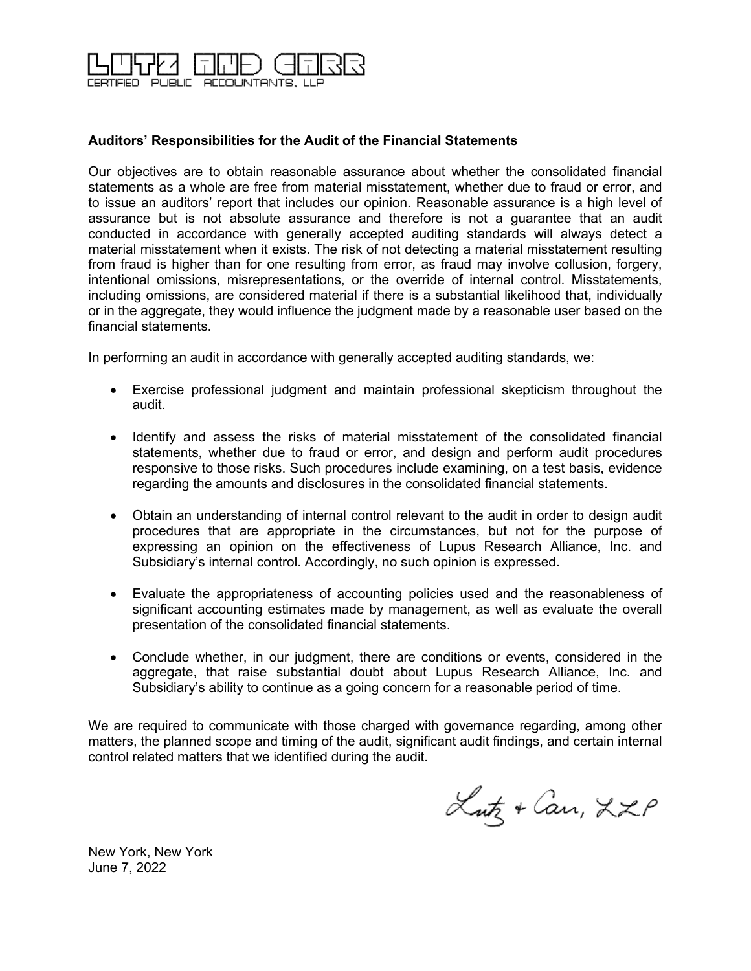

# **Auditors' Responsibilities for the Audit of the Financial Statements**

Our objectives are to obtain reasonable assurance about whether the consolidated financial statements as a whole are free from material misstatement, whether due to fraud or error, and to issue an auditors' report that includes our opinion. Reasonable assurance is a high level of assurance but is not absolute assurance and therefore is not a guarantee that an audit conducted in accordance with generally accepted auditing standards will always detect a material misstatement when it exists. The risk of not detecting a material misstatement resulting from fraud is higher than for one resulting from error, as fraud may involve collusion, forgery, intentional omissions, misrepresentations, or the override of internal control. Misstatements, including omissions, are considered material if there is a substantial likelihood that, individually or in the aggregate, they would influence the judgment made by a reasonable user based on the financial statements.

In performing an audit in accordance with generally accepted auditing standards, we:

- Exercise professional judgment and maintain professional skepticism throughout the audit.
- Identify and assess the risks of material misstatement of the consolidated financial statements, whether due to fraud or error, and design and perform audit procedures responsive to those risks. Such procedures include examining, on a test basis, evidence regarding the amounts and disclosures in the consolidated financial statements.
- Obtain an understanding of internal control relevant to the audit in order to design audit procedures that are appropriate in the circumstances, but not for the purpose of expressing an opinion on the effectiveness of Lupus Research Alliance, Inc. and Subsidiary's internal control. Accordingly, no such opinion is expressed.
- Evaluate the appropriateness of accounting policies used and the reasonableness of significant accounting estimates made by management, as well as evaluate the overall presentation of the consolidated financial statements.
- Conclude whether, in our judgment, there are conditions or events, considered in the aggregate, that raise substantial doubt about Lupus Research Alliance, Inc. and Subsidiary's ability to continue as a going concern for a reasonable period of time.

We are required to communicate with those charged with governance regarding, among other matters, the planned scope and timing of the audit, significant audit findings, and certain internal control related matters that we identified during the audit.

Lutz + Can, LZP

New York, New York June 7, 2022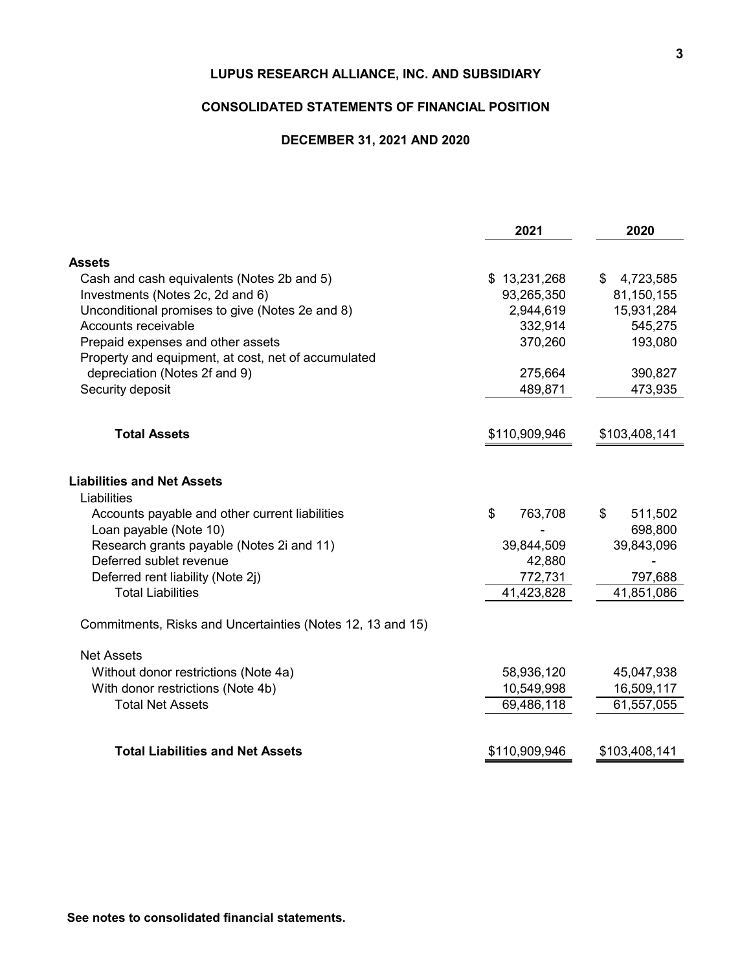### **CONSOLIDATED STATEMENTS OF FINANCIAL POSITION**

### **DECEMBER 31, 2021 AND 2020**

| \$13,231,268<br>\$<br>4,723,585<br>93,265,350<br>81,150,155<br>2,944,619<br>15,931,284<br>332,914<br>545,275<br>370,260<br>193,080<br>275,664<br>390,827<br>489,871<br>473,935 |
|--------------------------------------------------------------------------------------------------------------------------------------------------------------------------------|
|                                                                                                                                                                                |
|                                                                                                                                                                                |
|                                                                                                                                                                                |
|                                                                                                                                                                                |
|                                                                                                                                                                                |
|                                                                                                                                                                                |
|                                                                                                                                                                                |
|                                                                                                                                                                                |
|                                                                                                                                                                                |
| \$110,909,946<br>\$103,408,141                                                                                                                                                 |
|                                                                                                                                                                                |
|                                                                                                                                                                                |
| \$<br>763,708<br>511,502                                                                                                                                                       |
| 698,800                                                                                                                                                                        |
| 39,843,096<br>39,844,509                                                                                                                                                       |
| 42,880<br>772,731<br>797,688                                                                                                                                                   |
| 41,423,828<br>41,851,086                                                                                                                                                       |
|                                                                                                                                                                                |
|                                                                                                                                                                                |
| 58,936,120<br>45,047,938                                                                                                                                                       |
| 10,549,998<br>16,509,117                                                                                                                                                       |
| 69,486,118<br>61,557,055                                                                                                                                                       |
|                                                                                                                                                                                |
|                                                                                                                                                                                |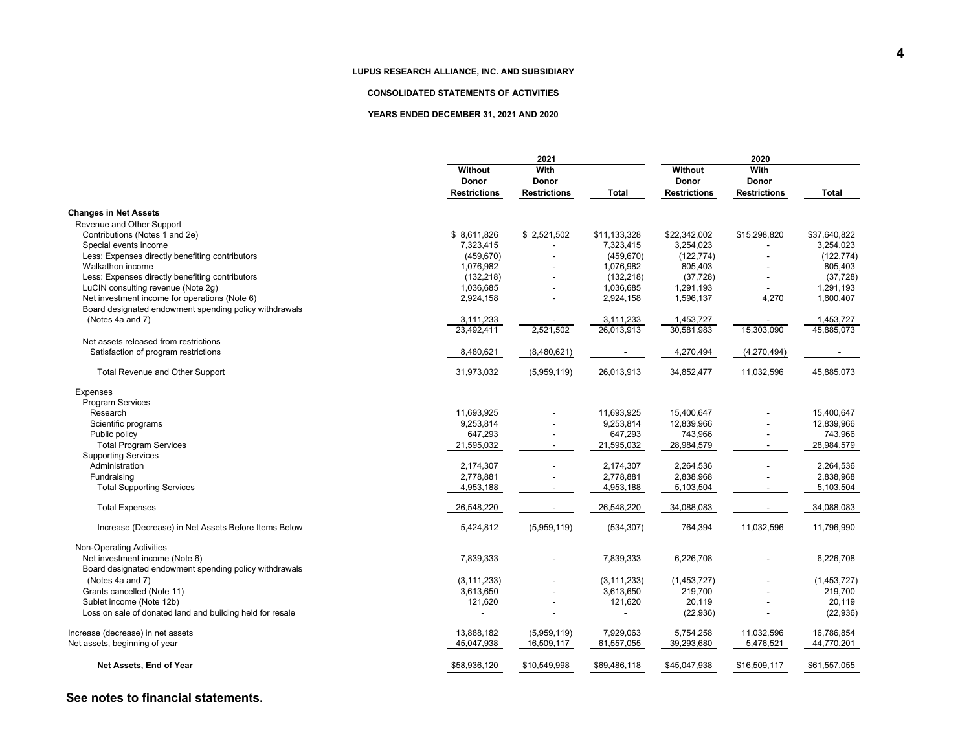#### **CONSOLIDATED STATEMENTS OF ACTIVITIES**

#### **YEARS ENDED DECEMBER 31, 2021 AND 2020**

|                                                           | 2021                    |                          |               | 2020                |                          |              |
|-----------------------------------------------------------|-------------------------|--------------------------|---------------|---------------------|--------------------------|--------------|
|                                                           | Without<br><b>Donor</b> | With<br><b>Donor</b>     |               | Without<br>Donor    | With<br>Donor            |              |
|                                                           | <b>Restrictions</b>     | <b>Restrictions</b>      | <b>Total</b>  | <b>Restrictions</b> | <b>Restrictions</b>      | <b>Total</b> |
| <b>Changes in Net Assets</b>                              |                         |                          |               |                     |                          |              |
| Revenue and Other Support                                 |                         |                          |               |                     |                          |              |
| Contributions (Notes 1 and 2e)                            | \$8,611,826             | \$2,521,502              | \$11,133,328  | \$22,342,002        | \$15,298,820             | \$37,640,822 |
| Special events income                                     | 7.323.415               |                          | 7.323.415     | 3,254,023           |                          | 3.254.023    |
| Less: Expenses directly benefiting contributors           | (459, 670)              |                          | (459, 670)    | (122, 774)          |                          | (122, 774)   |
| Walkathon income                                          | 1,076,982               |                          | 1,076,982     | 805,403             |                          | 805,403      |
| Less: Expenses directly benefiting contributors           | (132, 218)              |                          | (132, 218)    | (37, 728)           |                          | (37, 728)    |
| LuCIN consulting revenue (Note 2g)                        | 1,036,685               |                          | 1,036,685     | 1,291,193           |                          | 1,291,193    |
| Net investment income for operations (Note 6)             | 2,924,158               |                          | 2,924,158     | 1,596,137           | 4,270                    | 1,600,407    |
| Board designated endowment spending policy withdrawals    |                         |                          |               |                     |                          |              |
| (Notes 4a and 7)                                          | 3,111,233               |                          | 3,111,233     | 1,453,727           |                          | 1,453,727    |
|                                                           | 23,492,411              | 2,521,502                | 26,013,913    | 30,581,983          | 15,303,090               | 45,885,073   |
|                                                           |                         |                          |               |                     |                          |              |
| Net assets released from restrictions                     |                         |                          |               |                     |                          |              |
| Satisfaction of program restrictions                      | 8,480,621               | (8,480,621)              |               | 4,270,494           | (4,270,494)              |              |
| Total Revenue and Other Support                           | 31,973,032              | (5,959,119)              | 26,013,913    | 34,852,477          | 11,032,596               | 45,885,073   |
| Expenses                                                  |                         |                          |               |                     |                          |              |
| Program Services                                          |                         |                          |               |                     |                          |              |
| Research                                                  | 11,693,925              |                          | 11,693,925    | 15,400,647          |                          | 15,400,647   |
| Scientific programs                                       | 9,253,814               |                          | 9,253,814     | 12,839,966          |                          | 12,839,966   |
| Public policy                                             | 647,293                 |                          | 647,293       | 743,966             |                          | 743,966      |
| <b>Total Program Services</b>                             | 21,595,032              | $\sim$                   | 21,595,032    | 28,984,579          | $\blacksquare$           | 28,984,579   |
| <b>Supporting Services</b>                                |                         |                          |               |                     |                          |              |
| Administration                                            | 2,174,307               |                          | 2,174,307     | 2,264,536           |                          | 2,264,536    |
| Fundraising                                               | 2,778,881               |                          | 2,778,881     | 2,838,968           |                          | 2,838,968    |
|                                                           |                         | $\overline{\phantom{a}}$ |               |                     | $\overline{\phantom{a}}$ |              |
| <b>Total Supporting Services</b>                          | 4,953,188               |                          | 4,953,188     | 5,103,504           |                          | 5,103,504    |
| <b>Total Expenses</b>                                     | 26,548,220              |                          | 26,548,220    | 34,088,083          |                          | 34,088,083   |
| Increase (Decrease) in Net Assets Before Items Below      | 5,424,812               | (5,959,119)              | (534, 307)    | 764,394             | 11,032,596               | 11,796,990   |
| Non-Operating Activities                                  |                         |                          |               |                     |                          |              |
| Net investment income (Note 6)                            | 7,839,333               |                          | 7,839,333     | 6,226,708           |                          | 6,226,708    |
| Board designated endowment spending policy withdrawals    |                         |                          |               |                     |                          |              |
|                                                           |                         |                          |               |                     |                          |              |
| (Notes 4a and 7)                                          | (3, 111, 233)           |                          | (3, 111, 233) | (1,453,727)         |                          | (1,453,727)  |
| Grants cancelled (Note 11)                                | 3,613,650               |                          | 3,613,650     | 219,700             |                          | 219,700      |
| Sublet income (Note 12b)                                  | 121,620                 |                          | 121,620       | 20,119              |                          | 20,119       |
| Loss on sale of donated land and building held for resale |                         |                          |               | (22, 936)           |                          | (22, 936)    |
|                                                           |                         |                          |               |                     |                          |              |
| Increase (decrease) in net assets                         | 13,888,182              | (5,959,119)              | 7,929,063     | 5,754,258           | 11,032,596               | 16,786,854   |
| Net assets, beginning of year                             | 45,047,938              | 16,509,117               | 61,557,055    | 39,293,680          | 5,476,521                | 44,770,201   |
| Net Assets, End of Year                                   | \$58,936,120            | \$10,549,998             | \$69,486,118  | \$45,047,938        | \$16,509,117             | \$61,557,055 |

### **See notes to financial statements.**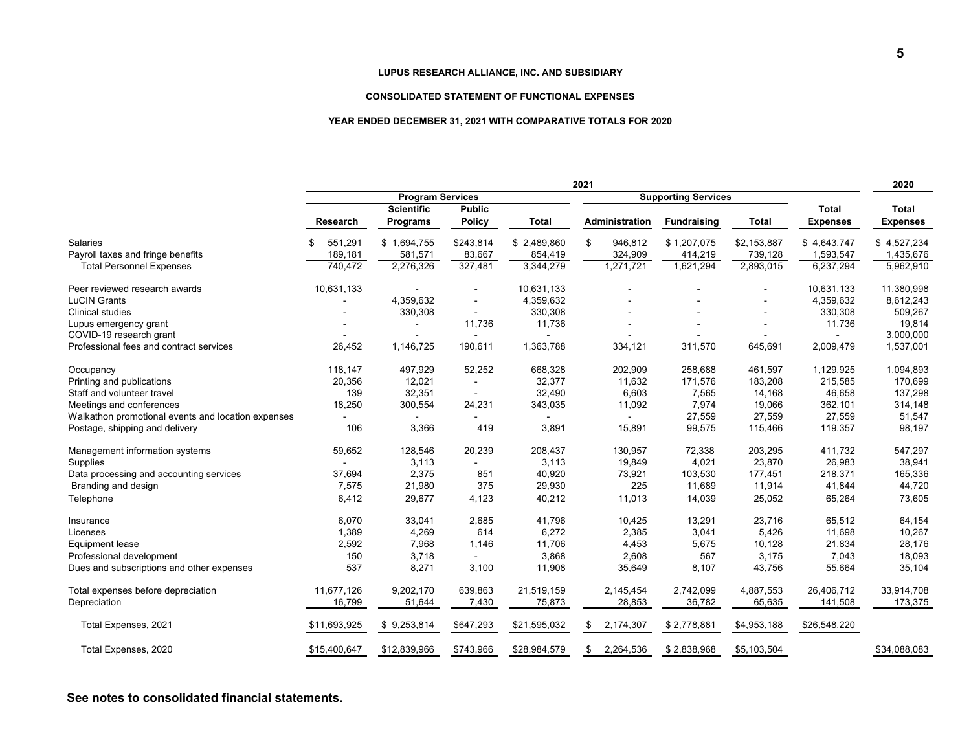#### **CONSOLIDATED STATEMENT OF FUNCTIONAL EXPENSES**

#### **YEAR ENDED DECEMBER 31, 2021 WITH COMPARATIVE TOTALS FOR 2020**

|                                                    | 2021                    |                   |                |                            |                 | 2020               |              |                 |                 |
|----------------------------------------------------|-------------------------|-------------------|----------------|----------------------------|-----------------|--------------------|--------------|-----------------|-----------------|
|                                                    | <b>Program Services</b> |                   |                | <b>Supporting Services</b> |                 |                    |              |                 |                 |
|                                                    |                         | <b>Scientific</b> | <b>Public</b>  |                            |                 |                    |              | Total           | <b>Total</b>    |
|                                                    | Research                | <b>Programs</b>   | <b>Policy</b>  | <b>Total</b>               | Administration  | <b>Fundraising</b> | <b>Total</b> | <b>Expenses</b> | <b>Expenses</b> |
| <b>Salaries</b>                                    | 551,291<br>£.           | \$1,694,755       | \$243,814      | \$2,489,860                | 946,812<br>\$   | \$1,207,075        | \$2,153,887  | \$4,643,747     | \$4,527,234     |
| Payroll taxes and fringe benefits                  | 189,181                 | 581,571           | 83,667         | 854,419                    | 324,909         | 414,219            | 739,128      | 1,593,547       | 1,435,676       |
| <b>Total Personnel Expenses</b>                    | 740,472                 | 2,276,326         | 327,481        | 3,344,279                  | 1,271,721       | 1,621,294          | 2,893,015    | 6,237,294       | 5,962,910       |
| Peer reviewed research awards                      | 10,631,133              |                   |                | 10,631,133                 |                 |                    |              | 10,631,133      | 11,380,998      |
| <b>LuCIN Grants</b>                                |                         | 4,359,632         |                | 4,359,632                  |                 |                    |              | 4,359,632       | 8,612,243       |
| <b>Clinical studies</b>                            |                         | 330,308           |                | 330,308                    |                 |                    |              | 330,308         | 509,267         |
| Lupus emergency grant                              |                         |                   | 11,736         | 11,736                     |                 |                    |              | 11,736          | 19,814          |
| COVID-19 research grant                            |                         |                   |                |                            |                 |                    |              |                 | 3,000,000       |
| Professional fees and contract services            | 26,452                  | 1,146,725         | 190,611        | 1,363,788                  | 334,121         | 311,570            | 645,691      | 2,009,479       | 1,537,001       |
| Occupancy                                          | 118,147                 | 497,929           | 52,252         | 668,328                    | 202,909         | 258,688            | 461,597      | 1,129,925       | 1,094,893       |
| Printing and publications                          | 20,356                  | 12,021            |                | 32,377                     | 11,632          | 171,576            | 183,208      | 215,585         | 170,699         |
| Staff and volunteer travel                         | 139                     | 32,351            | $\overline{a}$ | 32,490                     | 6,603           | 7,565              | 14,168       | 46,658          | 137,298         |
| Meetings and conferences                           | 18,250                  | 300,554           | 24,231         | 343,035                    | 11,092          | 7,974              | 19,066       | 362,101         | 314,148         |
| Walkathon promotional events and location expenses |                         |                   |                |                            |                 | 27,559             | 27,559       | 27,559          | 51,547          |
| Postage, shipping and delivery                     | 106                     | 3,366             | 419            | 3,891                      | 15,891          | 99,575             | 115,466      | 119,357         | 98,197          |
| Management information systems                     | 59,652                  | 128,546           | 20,239         | 208,437                    | 130,957         | 72,338             | 203,295      | 411,732         | 547,297         |
| Supplies                                           |                         | 3,113             |                | 3,113                      | 19,849          | 4,021              | 23,870       | 26,983          | 38,941          |
| Data processing and accounting services            | 37,694                  | 2,375             | 851            | 40,920                     | 73,921          | 103,530            | 177,451      | 218,371         | 165,336         |
| Branding and design                                | 7,575                   | 21,980            | 375            | 29,930                     | 225             | 11,689             | 11,914       | 41,844          | 44,720          |
| Telephone                                          | 6,412                   | 29,677            | 4,123          | 40,212                     | 11,013          | 14,039             | 25,052       | 65,264          | 73,605          |
| Insurance                                          | 6,070                   | 33,041            | 2,685          | 41,796                     | 10,425          | 13,291             | 23,716       | 65,512          | 64,154          |
| Licenses                                           | 1,389                   | 4,269             | 614            | 6,272                      | 2,385           | 3,041              | 5,426        | 11,698          | 10,267          |
| <b>Equipment lease</b>                             | 2,592                   | 7,968             | 1,146          | 11,706                     | 4,453           | 5,675              | 10,128       | 21,834          | 28,176          |
| Professional development                           | 150                     | 3,718             |                | 3,868                      | 2,608           | 567                | 3,175        | 7,043           | 18,093          |
| Dues and subscriptions and other expenses          | 537                     | 8,271             | 3,100          | 11,908                     | 35,649          | 8,107              | 43,756       | 55,664          | 35,104          |
| Total expenses before depreciation                 | 11,677,126              | 9,202,170         | 639,863        | 21,519,159                 | 2,145,454       | 2,742,099          | 4,887,553    | 26,406,712      | 33,914,708      |
| Depreciation                                       | 16,799                  | 51,644            | 7,430          | 75,873                     | 28,853          | 36,782             | 65,635       | 141,508         | 173,375         |
| Total Expenses, 2021                               | \$11,693,925            | \$9,253,814       | \$647,293      | \$21,595,032               | 2,174,307<br>\$ | \$2,778,881        | \$4,953,188  | \$26,548,220    |                 |
| Total Expenses, 2020                               | \$15,400,647            | \$12,839,966      | \$743,966      | \$28,984,579               | 2,264,536<br>\$ | \$2,838,968        | \$5,103,504  |                 | \$34,088,083    |
|                                                    |                         |                   |                |                            |                 |                    |              |                 |                 |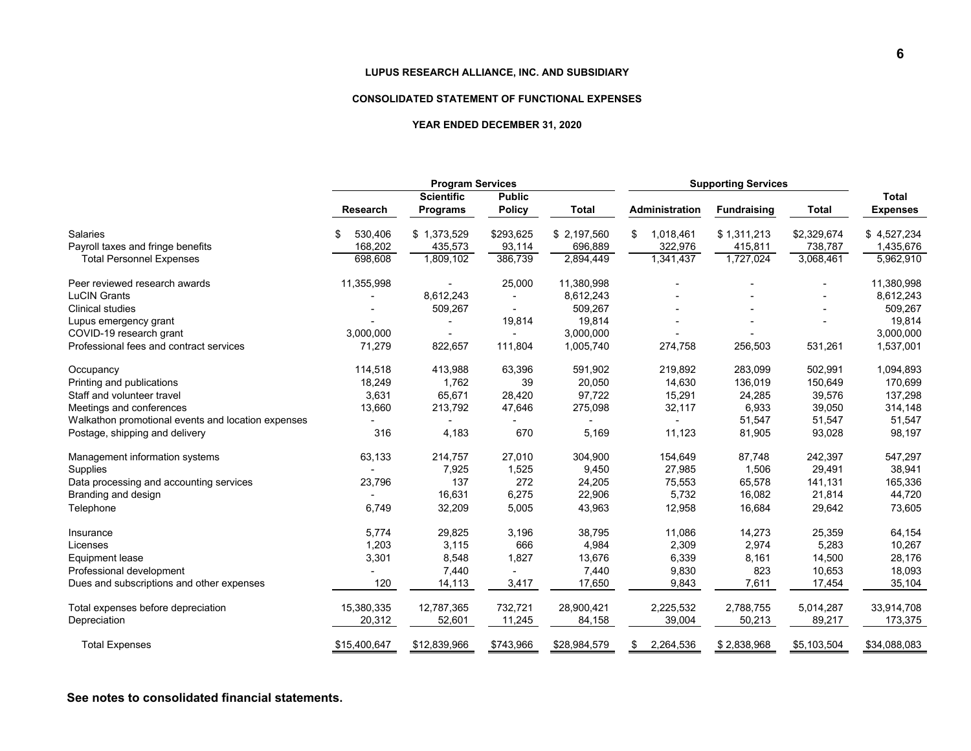#### **CONSOLIDATED STATEMENT OF FUNCTIONAL EXPENSES**

#### **YEAR ENDED DECEMBER 31, 2020**

|                                                      | <b>Program Services</b>  |                                      |                                |                        | <b>Supporting Services</b> |                        |                        |                          |
|------------------------------------------------------|--------------------------|--------------------------------------|--------------------------------|------------------------|----------------------------|------------------------|------------------------|--------------------------|
|                                                      | Research                 | <b>Scientific</b><br><b>Programs</b> | <b>Public</b><br><b>Policy</b> | <b>Total</b>           | Administration             | <b>Fundraising</b>     | <b>Total</b>           | Total<br><b>Expenses</b> |
| <b>Salaries</b><br>Payroll taxes and fringe benefits | \$<br>530,406<br>168,202 | \$1,373,529<br>435,573               | \$293,625<br>93,114            | \$2,197,560<br>696,889 | 1,018,461<br>\$<br>322,976 | \$1,311,213<br>415,811 | \$2,329,674<br>738,787 | \$4,527,234<br>1,435,676 |
| <b>Total Personnel Expenses</b>                      | 698,608                  | 1,809,102                            | 386,739                        | 2,894,449              | 1,341,437                  | 1,727,024              | 3,068,461              | 5,962,910                |
| Peer reviewed research awards                        | 11,355,998               |                                      | 25,000                         | 11,380,998             |                            |                        |                        | 11,380,998               |
| <b>LuCIN Grants</b>                                  |                          | 8,612,243                            | ٠                              | 8,612,243              |                            |                        |                        | 8,612,243                |
| <b>Clinical studies</b>                              |                          | 509,267                              | $\overline{a}$                 | 509,267                |                            |                        |                        | 509,267                  |
| Lupus emergency grant                                |                          |                                      | 19,814                         | 19,814                 |                            |                        |                        | 19,814                   |
| COVID-19 research grant                              | 3,000,000                |                                      |                                | 3,000,000              |                            |                        |                        | 3,000,000                |
| Professional fees and contract services              | 71,279                   | 822,657                              | 111,804                        | 1,005,740              | 274,758                    | 256,503                | 531,261                | 1,537,001                |
| Occupancy                                            | 114,518                  | 413,988                              | 63,396                         | 591,902                | 219,892                    | 283,099                | 502,991                | 1,094,893                |
| Printing and publications                            | 18,249                   | 1,762                                | 39                             | 20,050                 | 14,630                     | 136,019                | 150,649                | 170,699                  |
| Staff and volunteer travel                           | 3,631                    | 65,671                               | 28,420                         | 97,722                 | 15,291                     | 24,285                 | 39,576                 | 137,298                  |
| Meetings and conferences                             | 13,660                   | 213,792                              | 47,646                         | 275,098                | 32,117                     | 6,933                  | 39,050                 | 314,148                  |
| Walkathon promotional events and location expenses   |                          |                                      |                                |                        |                            | 51,547                 | 51,547                 | 51,547                   |
| Postage, shipping and delivery                       | 316                      | 4,183                                | 670                            | 5,169                  | 11,123                     | 81,905                 | 93,028                 | 98,197                   |
| Management information systems                       | 63,133                   | 214,757                              | 27,010                         | 304,900                | 154,649                    | 87,748                 | 242,397                | 547,297                  |
| Supplies                                             |                          | 7,925                                | 1,525                          | 9,450                  | 27,985                     | 1,506                  | 29,491                 | 38,941                   |
| Data processing and accounting services              | 23,796                   | 137                                  | 272                            | 24,205                 | 75,553                     | 65,578                 | 141,131                | 165,336                  |
| Branding and design                                  |                          | 16,631                               | 6,275                          | 22,906                 | 5,732                      | 16,082                 | 21,814                 | 44,720                   |
| Telephone                                            | 6,749                    | 32,209                               | 5,005                          | 43,963                 | 12,958                     | 16,684                 | 29,642                 | 73,605                   |
| Insurance                                            | 5,774                    | 29,825                               | 3,196                          | 38,795                 | 11,086                     | 14,273                 | 25,359                 | 64,154                   |
| Licenses                                             | 1,203                    | 3,115                                | 666                            | 4,984                  | 2,309                      | 2,974                  | 5,283                  | 10,267                   |
| <b>Equipment lease</b>                               | 3,301                    | 8,548                                | 1,827                          | 13,676                 | 6,339                      | 8,161                  | 14,500                 | 28,176                   |
| Professional development                             |                          | 7,440                                |                                | 7,440                  | 9,830                      | 823                    | 10,653                 | 18,093                   |
| Dues and subscriptions and other expenses            | 120                      | 14,113                               | 3,417                          | 17,650                 | 9,843                      | 7,611                  | 17,454                 | 35,104                   |
| Total expenses before depreciation                   | 15,380,335               | 12,787,365                           | 732,721                        | 28,900,421             | 2,225,532                  | 2,788,755              | 5,014,287              | 33,914,708               |
| Depreciation                                         | 20,312                   | 52,601                               | 11,245                         | 84,158                 | 39,004                     | 50,213                 | 89,217                 | 173,375                  |
| <b>Total Expenses</b>                                | \$15,400,647             | \$12,839,966                         | \$743,966                      | \$28,984,579           | 2,264,536<br>\$            | \$2,838,968            | \$5,103,504            | \$34,088,083             |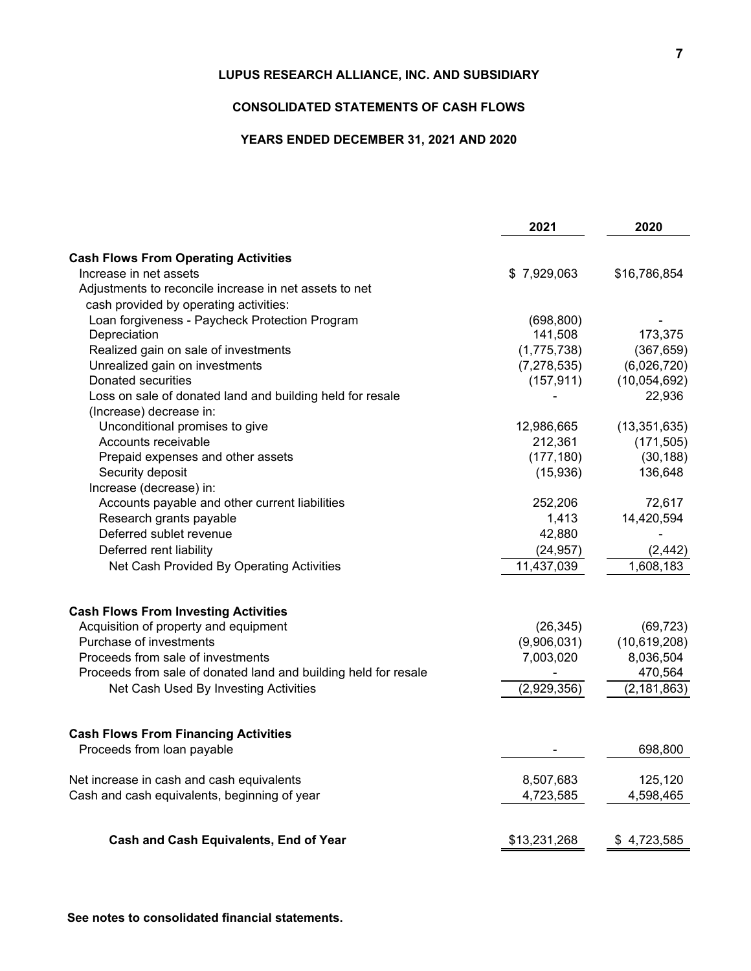# **CONSOLIDATED STATEMENTS OF CASH FLOWS**

# **YEARS ENDED DECEMBER 31, 2021 AND 2020**

|                                                                 | 2021          | 2020           |
|-----------------------------------------------------------------|---------------|----------------|
| <b>Cash Flows From Operating Activities</b>                     |               |                |
| Increase in net assets                                          | \$7,929,063   | \$16,786,854   |
| Adjustments to reconcile increase in net assets to net          |               |                |
| cash provided by operating activities:                          |               |                |
| Loan forgiveness - Paycheck Protection Program                  | (698, 800)    |                |
| Depreciation                                                    | 141,508       | 173,375        |
| Realized gain on sale of investments                            | (1,775,738)   | (367, 659)     |
| Unrealized gain on investments                                  | (7, 278, 535) | (6,026,720)    |
| Donated securities                                              | (157, 911)    | (10,054,692)   |
| Loss on sale of donated land and building held for resale       |               | 22,936         |
| (Increase) decrease in:                                         |               |                |
| Unconditional promises to give                                  | 12,986,665    | (13, 351, 635) |
| Accounts receivable                                             | 212,361       | (171, 505)     |
| Prepaid expenses and other assets                               | (177, 180)    | (30, 188)      |
| Security deposit                                                | (15,936)      | 136,648        |
| Increase (decrease) in:                                         |               |                |
| Accounts payable and other current liabilities                  | 252,206       | 72,617         |
| Research grants payable                                         | 1,413         | 14,420,594     |
| Deferred sublet revenue                                         | 42,880        |                |
| Deferred rent liability                                         | (24, 957)     | (2, 442)       |
| Net Cash Provided By Operating Activities                       | 11,437,039    | 1,608,183      |
|                                                                 |               |                |
| <b>Cash Flows From Investing Activities</b>                     |               |                |
| Acquisition of property and equipment                           | (26, 345)     | (69, 723)      |
| Purchase of investments                                         | (9,906,031)   | (10,619,208)   |
| Proceeds from sale of investments                               | 7,003,020     | 8,036,504      |
| Proceeds from sale of donated land and building held for resale |               | 470,564        |
| Net Cash Used By Investing Activities                           | (2,929,356)   | (2, 181, 863)  |
| <b>Cash Flows From Financing Activities</b>                     |               |                |
| Proceeds from loan payable                                      |               | 698,800        |
| Net increase in cash and cash equivalents                       | 8,507,683     | 125,120        |
| Cash and cash equivalents, beginning of year                    | 4,723,585     | 4,598,465      |
| Cash and Cash Equivalents, End of Year                          | \$13,231,268  | \$4,723,585    |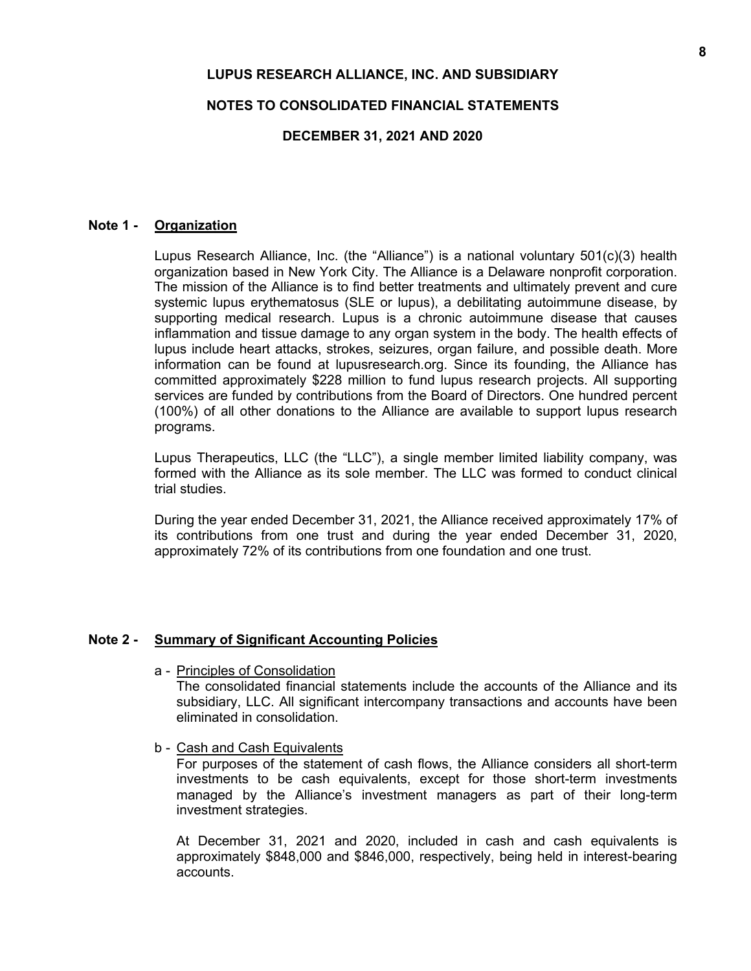### **NOTES TO CONSOLIDATED FINANCIAL STATEMENTS**

### **DECEMBER 31, 2021 AND 2020**

## **Note 1 - Organization**

Lupus Research Alliance, Inc. (the "Alliance") is a national voluntary 501(c)(3) health organization based in New York City. The Alliance is a Delaware nonprofit corporation. The mission of the Alliance is to find better treatments and ultimately prevent and cure systemic lupus erythematosus (SLE or lupus), a debilitating autoimmune disease, by supporting medical research. Lupus is a chronic autoimmune disease that causes inflammation and tissue damage to any organ system in the body. The health effects of lupus include heart attacks, strokes, seizures, organ failure, and possible death. More information can be found at lupusresearch.org. Since its founding, the Alliance has committed approximately \$228 million to fund lupus research projects. All supporting services are funded by contributions from the Board of Directors. One hundred percent (100%) of all other donations to the Alliance are available to support lupus research programs.

Lupus Therapeutics, LLC (the "LLC"), a single member limited liability company, was formed with the Alliance as its sole member. The LLC was formed to conduct clinical trial studies.

During the year ended December 31, 2021, the Alliance received approximately 17% of its contributions from one trust and during the year ended December 31, 2020, approximately 72% of its contributions from one foundation and one trust.

### **Note 2 - Summary of Significant Accounting Policies**

a - Principles of Consolidation

The consolidated financial statements include the accounts of the Alliance and its subsidiary, LLC. All significant intercompany transactions and accounts have been eliminated in consolidation.

b - Cash and Cash Equivalents

For purposes of the statement of cash flows, the Alliance considers all short-term investments to be cash equivalents, except for those short-term investments managed by the Alliance's investment managers as part of their long-term investment strategies.

At December 31, 2021 and 2020, included in cash and cash equivalents is approximately \$848,000 and \$846,000, respectively, being held in interest-bearing accounts.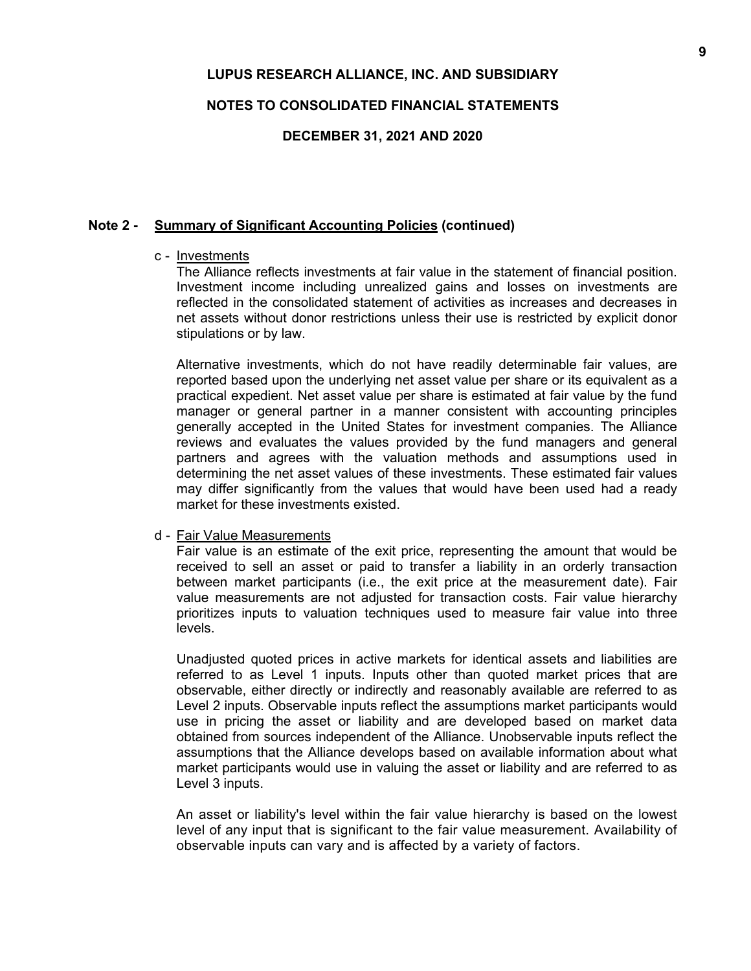### **NOTES TO CONSOLIDATED FINANCIAL STATEMENTS**

**DECEMBER 31, 2021 AND 2020**

### **Note 2 - Summary of Significant Accounting Policies (continued)**

### c - Investments

The Alliance reflects investments at fair value in the statement of financial position. Investment income including unrealized gains and losses on investments are reflected in the consolidated statement of activities as increases and decreases in net assets without donor restrictions unless their use is restricted by explicit donor stipulations or by law.

Alternative investments, which do not have readily determinable fair values, are reported based upon the underlying net asset value per share or its equivalent as a practical expedient. Net asset value per share is estimated at fair value by the fund manager or general partner in a manner consistent with accounting principles generally accepted in the United States for investment companies. The Alliance reviews and evaluates the values provided by the fund managers and general partners and agrees with the valuation methods and assumptions used in determining the net asset values of these investments. These estimated fair values may differ significantly from the values that would have been used had a ready market for these investments existed.

### d - Fair Value Measurements

Fair value is an estimate of the exit price, representing the amount that would be received to sell an asset or paid to transfer a liability in an orderly transaction between market participants (i.e., the exit price at the measurement date). Fair value measurements are not adjusted for transaction costs. Fair value hierarchy prioritizes inputs to valuation techniques used to measure fair value into three levels.

Unadjusted quoted prices in active markets for identical assets and liabilities are referred to as Level 1 inputs. Inputs other than quoted market prices that are observable, either directly or indirectly and reasonably available are referred to as Level 2 inputs. Observable inputs reflect the assumptions market participants would use in pricing the asset or liability and are developed based on market data obtained from sources independent of the Alliance. Unobservable inputs reflect the assumptions that the Alliance develops based on available information about what market participants would use in valuing the asset or liability and are referred to as Level 3 inputs.

An asset or liability's level within the fair value hierarchy is based on the lowest level of any input that is significant to the fair value measurement. Availability of observable inputs can vary and is affected by a variety of factors.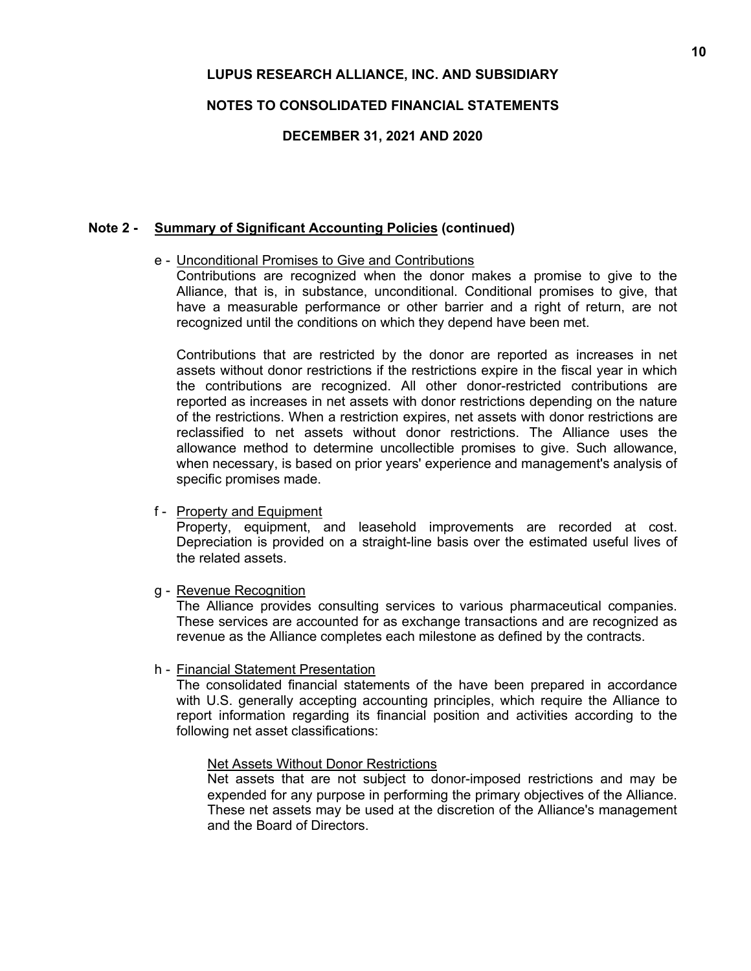# **NOTES TO CONSOLIDATED FINANCIAL STATEMENTS**

### **DECEMBER 31, 2021 AND 2020**

# **Note 2 - Summary of Significant Accounting Policies (continued)**

# e - Unconditional Promises to Give and Contributions

Contributions are recognized when the donor makes a promise to give to the Alliance, that is, in substance, unconditional. Conditional promises to give, that have a measurable performance or other barrier and a right of return, are not recognized until the conditions on which they depend have been met.

Contributions that are restricted by the donor are reported as increases in net assets without donor restrictions if the restrictions expire in the fiscal year in which the contributions are recognized. All other donor-restricted contributions are reported as increases in net assets with donor restrictions depending on the nature of the restrictions. When a restriction expires, net assets with donor restrictions are reclassified to net assets without donor restrictions. The Alliance uses the allowance method to determine uncollectible promises to give. Such allowance, when necessary, is based on prior years' experience and management's analysis of specific promises made.

### f - Property and Equipment

Property, equipment, and leasehold improvements are recorded at cost. Depreciation is provided on a straight-line basis over the estimated useful lives of the related assets.

g - Revenue Recognition

The Alliance provides consulting services to various pharmaceutical companies. These services are accounted for as exchange transactions and are recognized as revenue as the Alliance completes each milestone as defined by the contracts.

h - Financial Statement Presentation

The consolidated financial statements of the have been prepared in accordance with U.S. generally accepting accounting principles, which require the Alliance to report information regarding its financial position and activities according to the following net asset classifications:

### Net Assets Without Donor Restrictions

Net assets that are not subject to donor-imposed restrictions and may be expended for any purpose in performing the primary objectives of the Alliance. These net assets may be used at the discretion of the Alliance's management and the Board of Directors.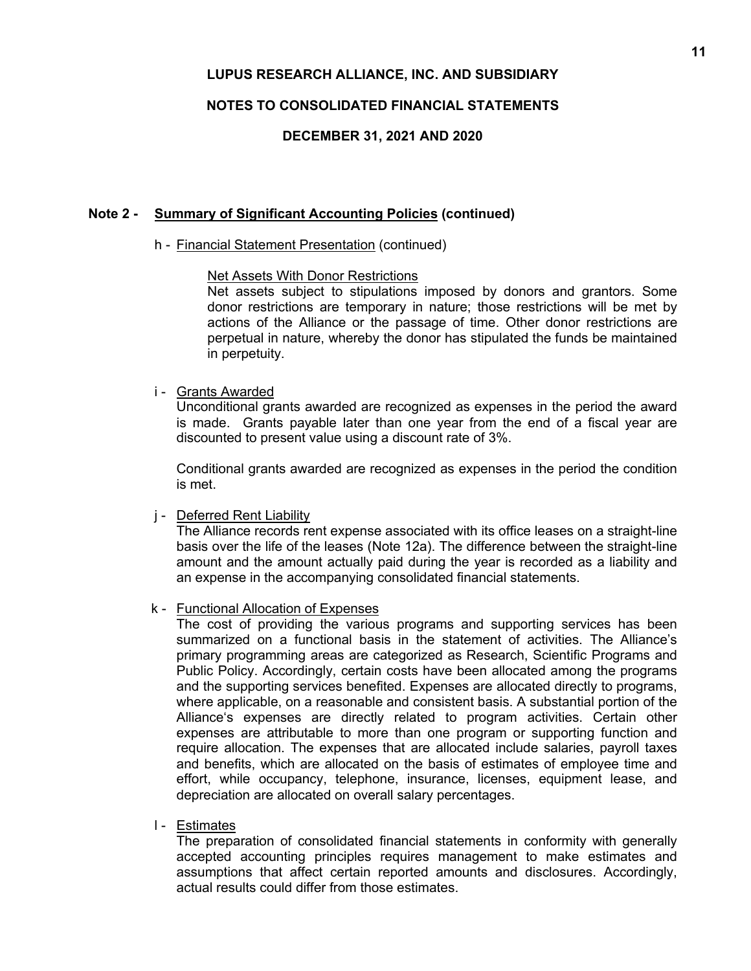# **NOTES TO CONSOLIDATED FINANCIAL STATEMENTS**

# **DECEMBER 31, 2021 AND 2020**

### **Note 2 - Summary of Significant Accounting Policies (continued)**

### h - Financial Statement Presentation (continued)

### Net Assets With Donor Restrictions

Net assets subject to stipulations imposed by donors and grantors. Some donor restrictions are temporary in nature; those restrictions will be met by actions of the Alliance or the passage of time. Other donor restrictions are perpetual in nature, whereby the donor has stipulated the funds be maintained in perpetuity.

### i - Grants Awarded

Unconditional grants awarded are recognized as expenses in the period the award is made. Grants payable later than one year from the end of a fiscal year are discounted to present value using a discount rate of 3%.

Conditional grants awarded are recognized as expenses in the period the condition is met.

### j - Deferred Rent Liability

The Alliance records rent expense associated with its office leases on a straight-line basis over the life of the leases (Note 12a). The difference between the straight-line amount and the amount actually paid during the year is recorded as a liability and an expense in the accompanying consolidated financial statements.

### k - Functional Allocation of Expenses

The cost of providing the various programs and supporting services has been summarized on a functional basis in the statement of activities. The Alliance's primary programming areas are categorized as Research, Scientific Programs and Public Policy. Accordingly, certain costs have been allocated among the programs and the supporting services benefited. Expenses are allocated directly to programs, where applicable, on a reasonable and consistent basis. A substantial portion of the Alliance's expenses are directly related to program activities. Certain other expenses are attributable to more than one program or supporting function and require allocation. The expenses that are allocated include salaries, payroll taxes and benefits, which are allocated on the basis of estimates of employee time and effort, while occupancy, telephone, insurance, licenses, equipment lease, and depreciation are allocated on overall salary percentages.

### l - Estimates

The preparation of consolidated financial statements in conformity with generally accepted accounting principles requires management to make estimates and assumptions that affect certain reported amounts and disclosures. Accordingly, actual results could differ from those estimates.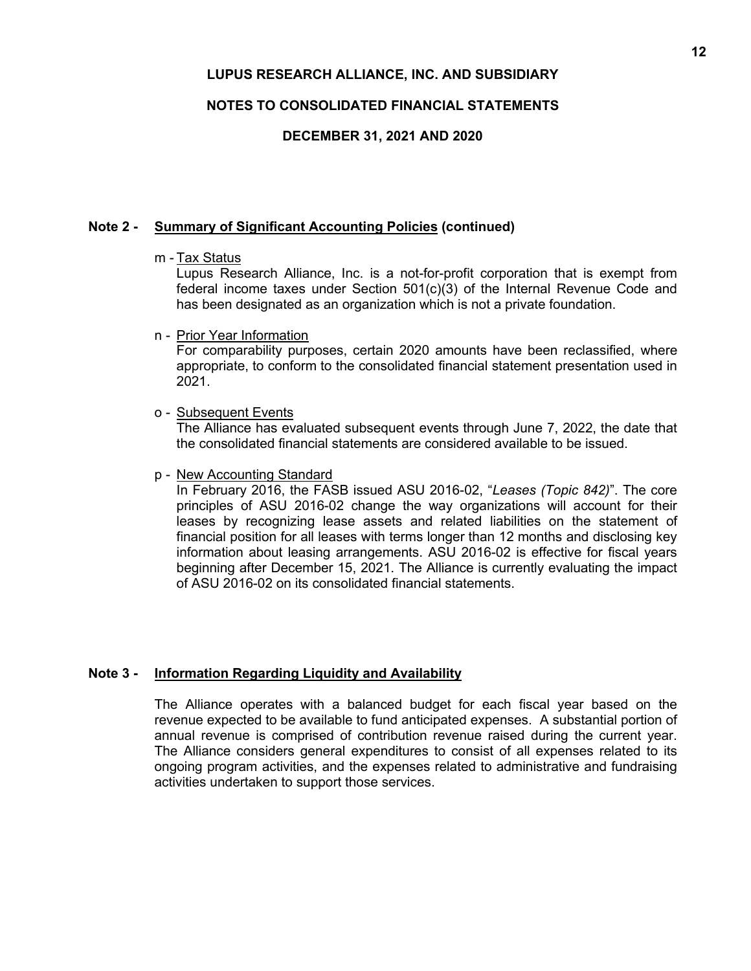# **NOTES TO CONSOLIDATED FINANCIAL STATEMENTS**

# **DECEMBER 31, 2021 AND 2020**

# **Note 2 - Summary of Significant Accounting Policies (continued)**

m - Tax Status

Lupus Research Alliance, Inc. is a not-for-profit corporation that is exempt from federal income taxes under Section 501(c)(3) of the Internal Revenue Code and has been designated as an organization which is not a private foundation.

n - Prior Year Information

For comparability purposes, certain 2020 amounts have been reclassified, where appropriate, to conform to the consolidated financial statement presentation used in 2021.

o - Subsequent Events

The Alliance has evaluated subsequent events through June 7, 2022, the date that the consolidated financial statements are considered available to be issued.

p - New Accounting Standard

In February 2016, the FASB issued ASU 2016-02, "*Leases (Topic 842)*". The core principles of ASU 2016-02 change the way organizations will account for their leases by recognizing lease assets and related liabilities on the statement of financial position for all leases with terms longer than 12 months and disclosing key information about leasing arrangements. ASU 2016-02 is effective for fiscal years beginning after December 15, 2021. The Alliance is currently evaluating the impact of ASU 2016-02 on its consolidated financial statements.

# **Note 3 - Information Regarding Liquidity and Availability**

The Alliance operates with a balanced budget for each fiscal year based on the revenue expected to be available to fund anticipated expenses. A substantial portion of annual revenue is comprised of contribution revenue raised during the current year. The Alliance considers general expenditures to consist of all expenses related to its ongoing program activities, and the expenses related to administrative and fundraising activities undertaken to support those services.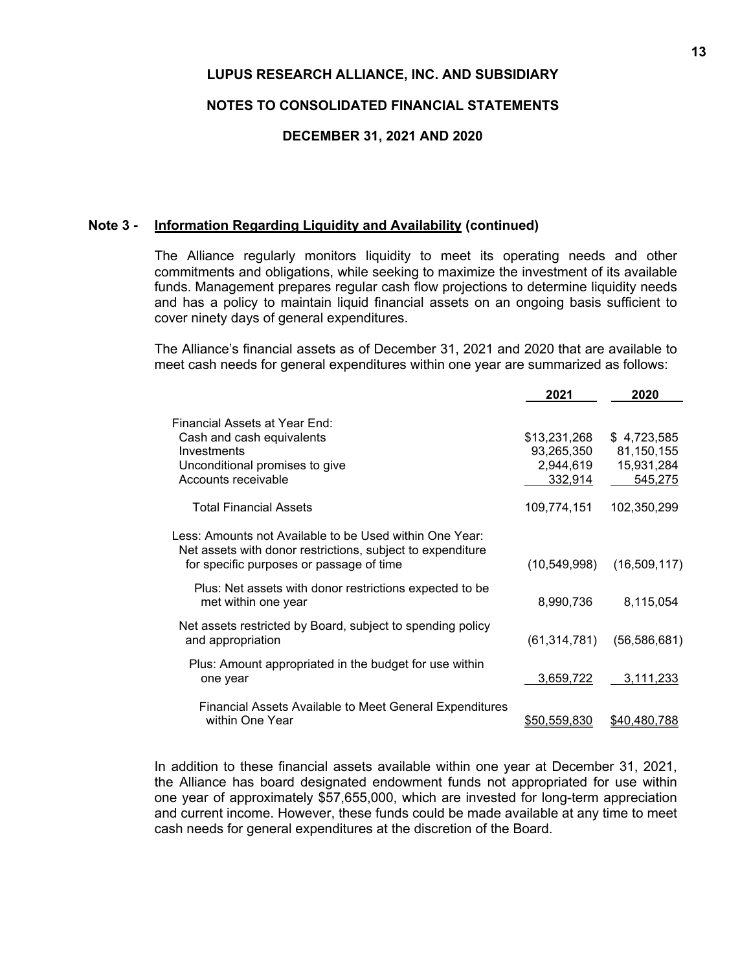### **NOTES TO CONSOLIDATED FINANCIAL STATEMENTS**

### **DECEMBER 31, 2021 AND 2020**

### **Note 3 - Information Regarding Liquidity and Availability (continued)**

The Alliance regularly monitors liquidity to meet its operating needs and other commitments and obligations, while seeking to maximize the investment of its available funds. Management prepares regular cash flow projections to determine liquidity needs and has a policy to maintain liquid financial assets on an ongoing basis sufficient to cover ninety days of general expenditures.

The Alliance's financial assets as of December 31, 2021 and 2020 that are available to meet cash needs for general expenditures within one year are summarized as follows:

|                                                                                                                                                                   | 2021                       | 2020                      |
|-------------------------------------------------------------------------------------------------------------------------------------------------------------------|----------------------------|---------------------------|
| Financial Assets at Year End:                                                                                                                                     |                            |                           |
| Cash and cash equivalents<br>Investments                                                                                                                          | \$13,231,268<br>93,265,350 | \$4,723,585<br>81,150,155 |
| Unconditional promises to give<br>Accounts receivable                                                                                                             | 2,944,619<br>332,914       | 15,931,284<br>545,275     |
| <b>Total Financial Assets</b>                                                                                                                                     | 109,774,151                | 102,350,299               |
| Less: Amounts not Available to be Used within One Year:<br>Net assets with donor restrictions, subject to expenditure<br>for specific purposes or passage of time | (10, 549, 998)             | (16,509,117)              |
| Plus: Net assets with donor restrictions expected to be<br>met within one year                                                                                    | 8,990,736                  | 8,115,054                 |
| Net assets restricted by Board, subject to spending policy<br>and appropriation                                                                                   | (61, 314, 781)             | (56, 586, 681)            |
| Plus: Amount appropriated in the budget for use within<br>one year                                                                                                | 3,659,722                  | 3,111,233                 |
| <b>Financial Assets Available to Meet General Expenditures</b><br>within One Year                                                                                 | \$50,559,830               | \$40.480.788              |

In addition to these financial assets available within one year at December 31, 2021, the Alliance has board designated endowment funds not appropriated for use within one year of approximately \$57,655,000, which are invested for long-term appreciation and current income. However, these funds could be made available at any time to meet cash needs for general expenditures at the discretion of the Board.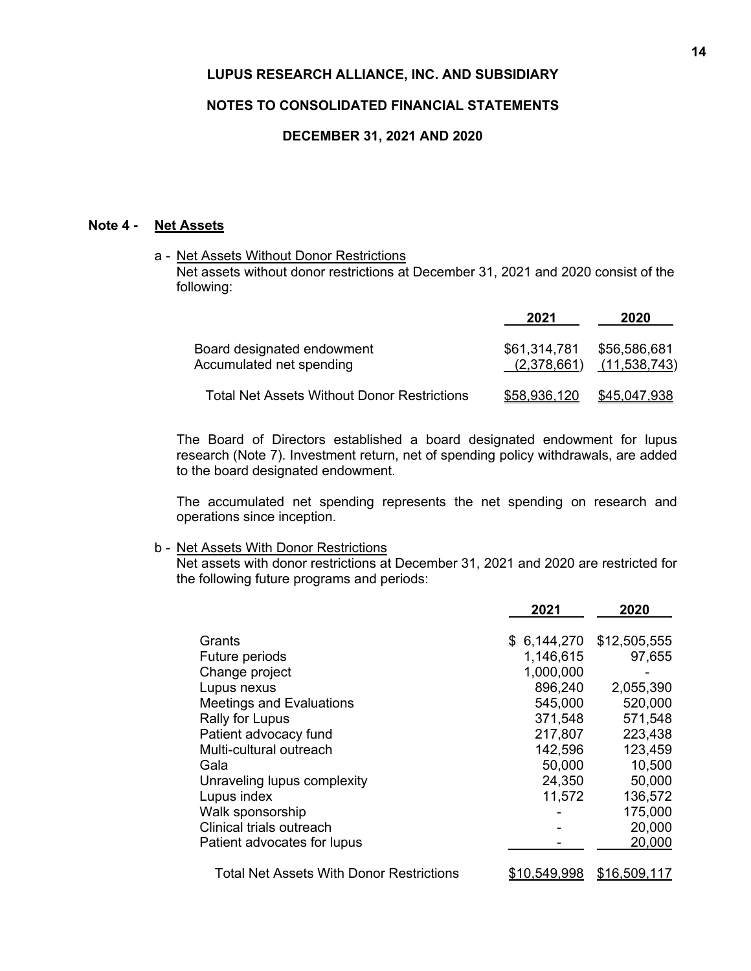## **NOTES TO CONSOLIDATED FINANCIAL STATEMENTS**

### **DECEMBER 31, 2021 AND 2020**

# **Note 4 - Net Assets**

a - Net Assets Without Donor Restrictions Net assets without donor restrictions at December 31, 2021 and 2020 consist of the following:

|                                                        | 2021                        | 2020                                |
|--------------------------------------------------------|-----------------------------|-------------------------------------|
| Board designated endowment<br>Accumulated net spending | \$61,314,781<br>(2,378,661) | \$56,586,681<br><u>(11,538,743)</u> |
| Total Net Assets Without Donor Restrictions            | \$58,936,120                | \$45,047,938                        |

The Board of Directors established a board designated endowment for lupus research (Note 7). Investment return, net of spending policy withdrawals, are added to the board designated endowment.

The accumulated net spending represents the net spending on research and operations since inception.

#### b - Net Assets With Donor Restrictions

Net assets with donor restrictions at December 31, 2021 and 2020 are restricted for the following future programs and periods:

|                                          | 2021                | 2020         |
|------------------------------------------|---------------------|--------------|
| Grants                                   | \$6,144,270         | \$12,505,555 |
| Future periods                           | 1,146,615           | 97,655       |
| Change project                           | 1,000,000           |              |
| Lupus nexus                              | 896,240             | 2,055,390    |
| <b>Meetings and Evaluations</b>          | 545,000             | 520,000      |
| Rally for Lupus                          | 371,548             | 571,548      |
| Patient advocacy fund                    | 217,807             | 223,438      |
| Multi-cultural outreach                  | 142,596             | 123,459      |
| Gala                                     | 50,000              | 10,500       |
| Unraveling lupus complexity              | 24,350              | 50,000       |
| Lupus index                              | 11,572              | 136,572      |
| Walk sponsorship                         |                     | 175,000      |
| Clinical trials outreach                 |                     | 20,000       |
| Patient advocates for lupus              |                     | 20,000       |
| Total Net Assets With Donor Restrictions | <u>\$10,549,998</u> | \$16,509,117 |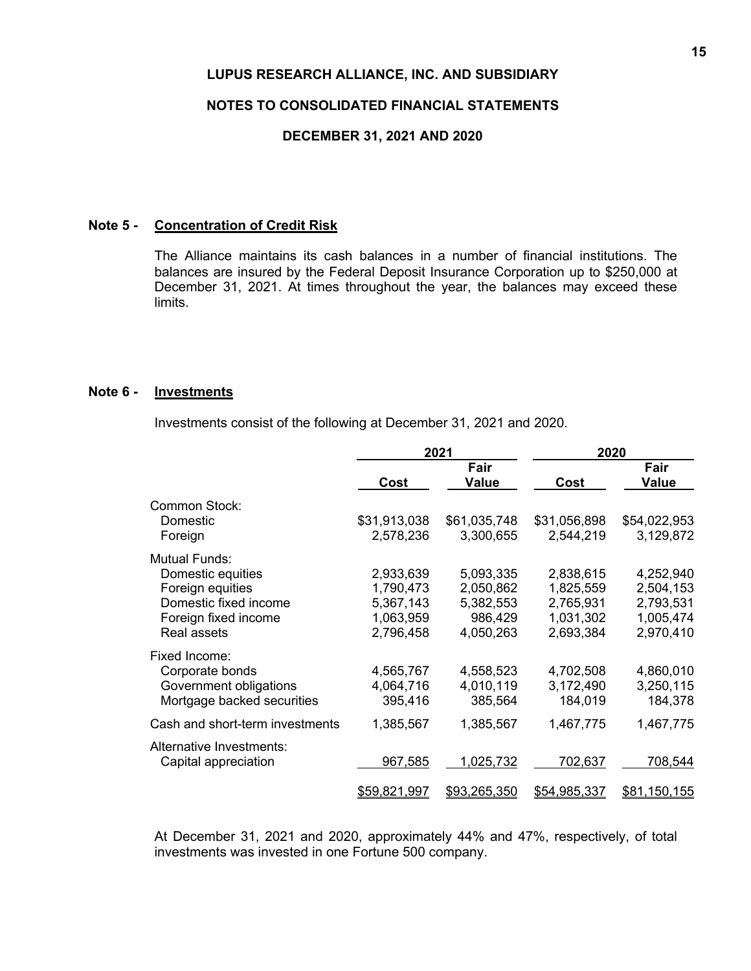### **NOTES TO CONSOLIDATED FINANCIAL STATEMENTS**

### **DECEMBER 31, 2021 AND 2020**

## **Note 5 - Concentration of Credit Risk**

The Alliance maintains its cash balances in a number of financial institutions. The balances are insured by the Federal Deposit Insurance Corporation up to \$250,000 at December 31, 2021. At times throughout the year, the balances may exceed these limits.

### **Note 6 - Investments**

Investments consist of the following at December 31, 2021 and 2020.

|                                 |              | 2021          | 2020         |               |  |
|---------------------------------|--------------|---------------|--------------|---------------|--|
|                                 | Cost         | Fair<br>Value | Cost         | Fair<br>Value |  |
| <b>Common Stock:</b>            |              |               |              |               |  |
| Domestic                        | \$31,913,038 | \$61,035,748  | \$31,056,898 | \$54,022,953  |  |
| Foreign                         | 2,578,236    | 3,300,655     | 2,544,219    | 3,129,872     |  |
| <b>Mutual Funds:</b>            |              |               |              |               |  |
| Domestic equities               | 2,933,639    | 5,093,335     | 2,838,615    | 4,252,940     |  |
| Foreign equities                | 1,790,473    | 2,050,862     | 1,825,559    | 2,504,153     |  |
| Domestic fixed income           | 5,367,143    | 5,382,553     | 2,765,931    | 2,793,531     |  |
| Foreign fixed income            | 1,063,959    | 986,429       | 1,031,302    | 1,005,474     |  |
| Real assets                     | 2,796,458    | 4,050,263     | 2,693,384    | 2,970,410     |  |
| Fixed Income:                   |              |               |              |               |  |
| Corporate bonds                 | 4,565,767    | 4,558,523     | 4,702,508    | 4,860,010     |  |
| Government obligations          | 4,064,716    | 4,010,119     | 3,172,490    | 3,250,115     |  |
| Mortgage backed securities      | 395,416      | 385,564       | 184,019      | 184,378       |  |
| Cash and short-term investments | 1,385,567    | 1,385,567     | 1,467,775    | 1,467,775     |  |
| Alternative Investments:        |              |               |              |               |  |
| Capital appreciation            | 967,585      | 1,025,732     | 702,637      | 708,544       |  |
|                                 | \$59,821,997 | \$93,265,350  | \$54,985,337 | \$81,150,155  |  |

At December 31, 2021 and 2020, approximately 44% and 47%, respectively, of total investments was invested in one Fortune 500 company.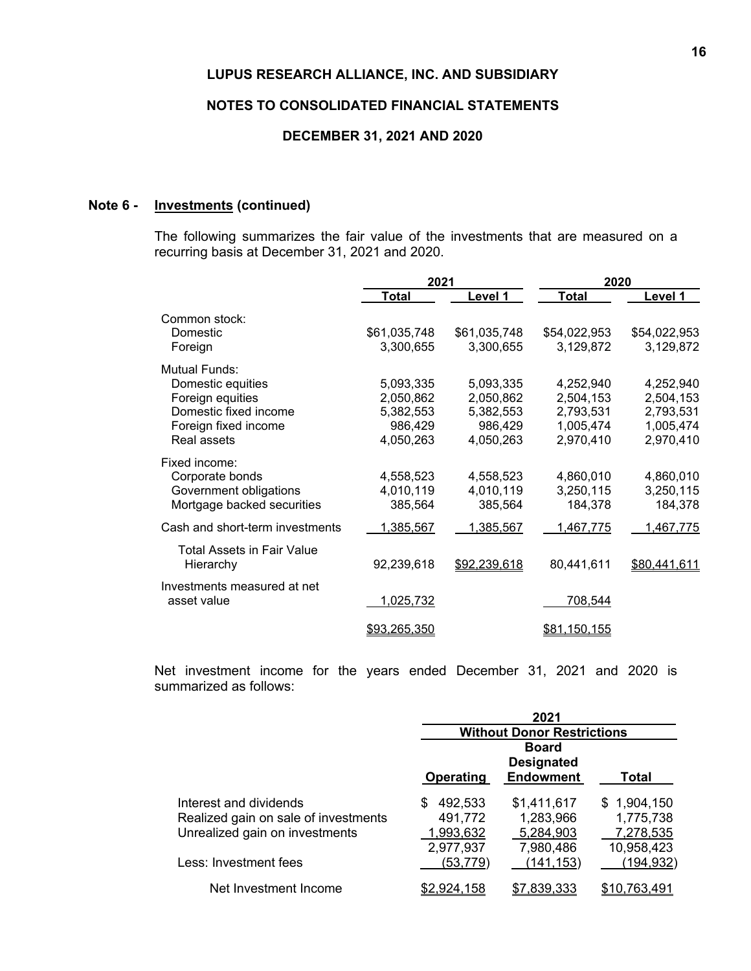### **NOTES TO CONSOLIDATED FINANCIAL STATEMENTS**

# **DECEMBER 31, 2021 AND 2020**

# **Note 6 - Investments (continued)**

The following summarizes the fair value of the investments that are measured on a recurring basis at December 31, 2021 and 2020.

|                                 | 2021         |              | 2020                |              |  |
|---------------------------------|--------------|--------------|---------------------|--------------|--|
|                                 | Total        | Level 1      | Total               | Level 1      |  |
| Common stock:                   |              |              |                     |              |  |
| Domestic                        | \$61,035,748 | \$61,035,748 | \$54,022,953        | \$54,022,953 |  |
| Foreign                         | 3,300,655    | 3,300,655    | 3,129,872           | 3,129,872    |  |
| Mutual Funds:                   |              |              |                     |              |  |
| Domestic equities               | 5,093,335    | 5,093,335    | 4,252,940           | 4,252,940    |  |
| Foreign equities                | 2,050,862    | 2,050,862    | 2,504,153           | 2,504,153    |  |
| Domestic fixed income           | 5,382,553    | 5,382,553    | 2,793,531           | 2,793,531    |  |
| Foreign fixed income            | 986,429      | 986,429      | 1,005,474           | 1,005,474    |  |
| Real assets                     | 4,050,263    | 4,050,263    | 2,970,410           | 2,970,410    |  |
| Fixed income:                   |              |              |                     |              |  |
| Corporate bonds                 | 4,558,523    | 4,558,523    | 4,860,010           | 4,860,010    |  |
| Government obligations          | 4,010,119    | 4,010,119    | 3,250,115           | 3,250,115    |  |
| Mortgage backed securities      | 385,564      | 385,564      | 184,378             | 184,378      |  |
| Cash and short-term investments | 1,385,567    | 1,385,567    | 1,467,775           | 1,467,775    |  |
| Total Assets in Fair Value      |              |              |                     |              |  |
| Hierarchy                       | 92,239,618   | \$92,239,618 | 80,441,611          | \$80,441,611 |  |
| Investments measured at net     |              |              |                     |              |  |
| asset value                     | 1,025,732    |              | 708,544             |              |  |
|                                 | \$93,265,350 |              | <u>\$81,150,155</u> |              |  |
|                                 |              |              |                     |              |  |

Net investment income for the years ended December 31, 2021 and 2020 is summarized as follows:

|                                                                                                  | 2021                                              |                                                       |                                                     |  |  |  |
|--------------------------------------------------------------------------------------------------|---------------------------------------------------|-------------------------------------------------------|-----------------------------------------------------|--|--|--|
|                                                                                                  | <b>Without Donor Restrictions</b>                 |                                                       |                                                     |  |  |  |
|                                                                                                  | Operating                                         | <b>Board</b><br><b>Designated</b><br><b>Endowment</b> | Total                                               |  |  |  |
| Interest and dividends<br>Realized gain on sale of investments<br>Unrealized gain on investments | 492,533<br>S<br>491,772<br>1,993,632<br>2,977,937 | \$1,411,617<br>1,283,966<br>5,284,903<br>7,980,486    | \$1,904,150<br>1,775,738<br>7,278,535<br>10,958,423 |  |  |  |
| Less: Investment fees                                                                            | (53,779)                                          | (141,153)                                             | (194,932)                                           |  |  |  |
| Net Investment Income                                                                            | \$2,924,158                                       | \$7,839,333                                           | \$10,763,491                                        |  |  |  |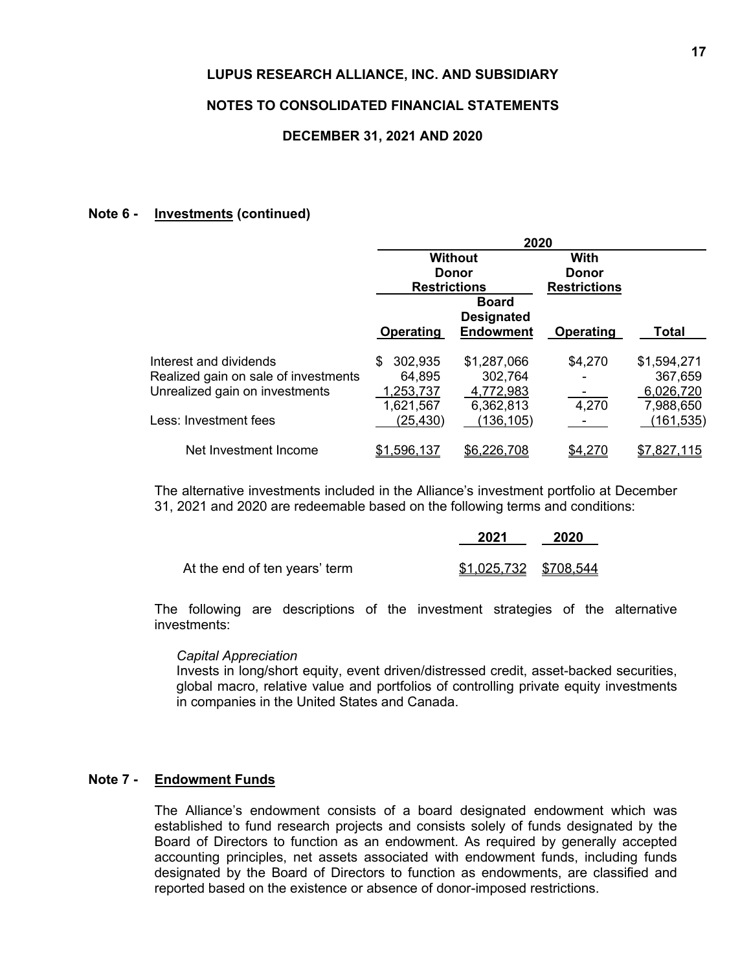### **NOTES TO CONSOLIDATED FINANCIAL STATEMENTS**

### **DECEMBER 31, 2021 AND 2020**

### **Note 6 - Investments (continued)**

|                                      | 2020                |                                   |                      |                  |  |  |
|--------------------------------------|---------------------|-----------------------------------|----------------------|------------------|--|--|
|                                      |                     | <b>Without</b><br>Donor           | With<br><b>Donor</b> |                  |  |  |
|                                      | <b>Restrictions</b> |                                   | <b>Restrictions</b>  |                  |  |  |
|                                      |                     | <b>Board</b><br><b>Designated</b> |                      |                  |  |  |
|                                      | <b>Operating</b>    | <b>Endowment</b>                  | Operating            | Total            |  |  |
| Interest and dividends               | 302,935<br>S        | \$1,287,066                       | \$4,270              | \$1,594,271      |  |  |
| Realized gain on sale of investments | 64,895              | 302,764                           |                      | 367,659          |  |  |
| Unrealized gain on investments       | ,253,737            | 4,772,983                         |                      | 6,026,720        |  |  |
|                                      | 1,621,567           | 6,362,813                         | 4,270                | 7,988,650        |  |  |
| Less: Investment fees                | (25, 430)           | 136, 105                          |                      | <u> 161,535)</u> |  |  |
| Net Investment Income                | \$1,596,137         | \$6,226,708                       |                      | \$7,827,115      |  |  |

The alternative investments included in the Alliance's investment portfolio at December 31, 2021 and 2020 are redeemable based on the following terms and conditions:

|                               | 2021                  | 2020 |
|-------------------------------|-----------------------|------|
| At the end of ten years' term | \$1,025,732 \$708,544 |      |

The following are descriptions of the investment strategies of the alternative investments:

### *Capital Appreciation*

Invests in long/short equity, event driven/distressed credit, asset-backed securities, global macro, relative value and portfolios of controlling private equity investments in companies in the United States and Canada.

# **Note 7 - Endowment Funds**

The Alliance's endowment consists of a board designated endowment which was established to fund research projects and consists solely of funds designated by the Board of Directors to function as an endowment. As required by generally accepted accounting principles, net assets associated with endowment funds, including funds designated by the Board of Directors to function as endowments, are classified and reported based on the existence or absence of donor-imposed restrictions.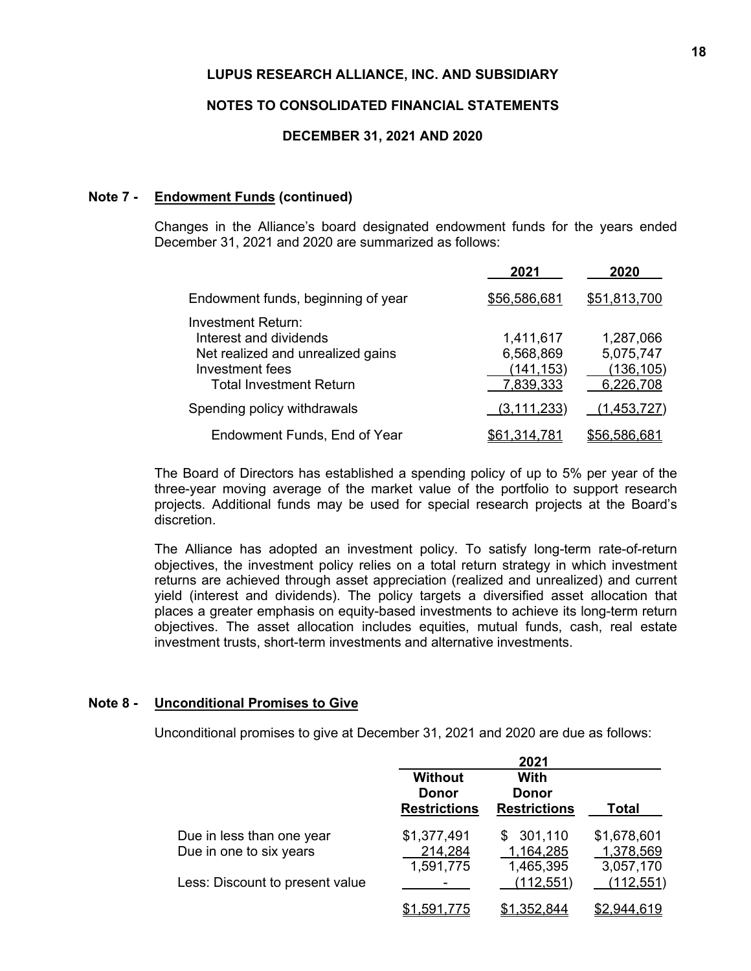### **NOTES TO CONSOLIDATED FINANCIAL STATEMENTS**

### **DECEMBER 31, 2021 AND 2020**

### **Note 7 - Endowment Funds (continued)**

Changes in the Alliance's board designated endowment funds for the years ended December 31, 2021 and 2020 are summarized as follows:

|                                                                                                                                               | 2021                                              | 2020                                              |
|-----------------------------------------------------------------------------------------------------------------------------------------------|---------------------------------------------------|---------------------------------------------------|
| Endowment funds, beginning of year                                                                                                            | \$56,586,681                                      | \$51,813,700                                      |
| <b>Investment Return:</b><br>Interest and dividends<br>Net realized and unrealized gains<br>Investment fees<br><b>Total Investment Return</b> | 1,411,617<br>6,568,869<br>(141, 153)<br>7,839,333 | 1,287,066<br>5,075,747<br>(136, 105)<br>6,226,708 |
| Spending policy withdrawals                                                                                                                   | (3, 111, 233)                                     | <u>(1,453,727)</u>                                |
| Endowment Funds, End of Year                                                                                                                  | \$61,314,781                                      | \$56,586,681                                      |

The Board of Directors has established a spending policy of up to 5% per year of the three-year moving average of the market value of the portfolio to support research projects. Additional funds may be used for special research projects at the Board's discretion.

The Alliance has adopted an investment policy. To satisfy long-term rate-of-return objectives, the investment policy relies on a total return strategy in which investment returns are achieved through asset appreciation (realized and unrealized) and current yield (interest and dividends). The policy targets a diversified asset allocation that places a greater emphasis on equity-based investments to achieve its long-term return objectives. The asset allocation includes equities, mutual funds, cash, real estate investment trusts, short-term investments and alternative investments.

### **Note 8 - Unconditional Promises to Give**

Unconditional promises to give at December 31, 2021 and 2020 are due as follows:

|                                 |                                                | 2021                                               |                        |
|---------------------------------|------------------------------------------------|----------------------------------------------------|------------------------|
|                                 | <b>Without</b><br>Donor<br><b>Restrictions</b> | <b>With</b><br><b>Donor</b><br><b>Restrictions</b> | <b>Total</b>           |
| Due in less than one year       | \$1,377,491                                    | \$301,110                                          | \$1,678,601            |
| Due in one to six years         | 214,284<br>1,591,775                           | 1,164,285<br>1,465,395                             | 1,378,569<br>3,057,170 |
| Less: Discount to present value |                                                | (112, 551)                                         | (112, 551)             |
|                                 | \$1.591.775                                    | \$1,352,844                                        | \$2,944,619            |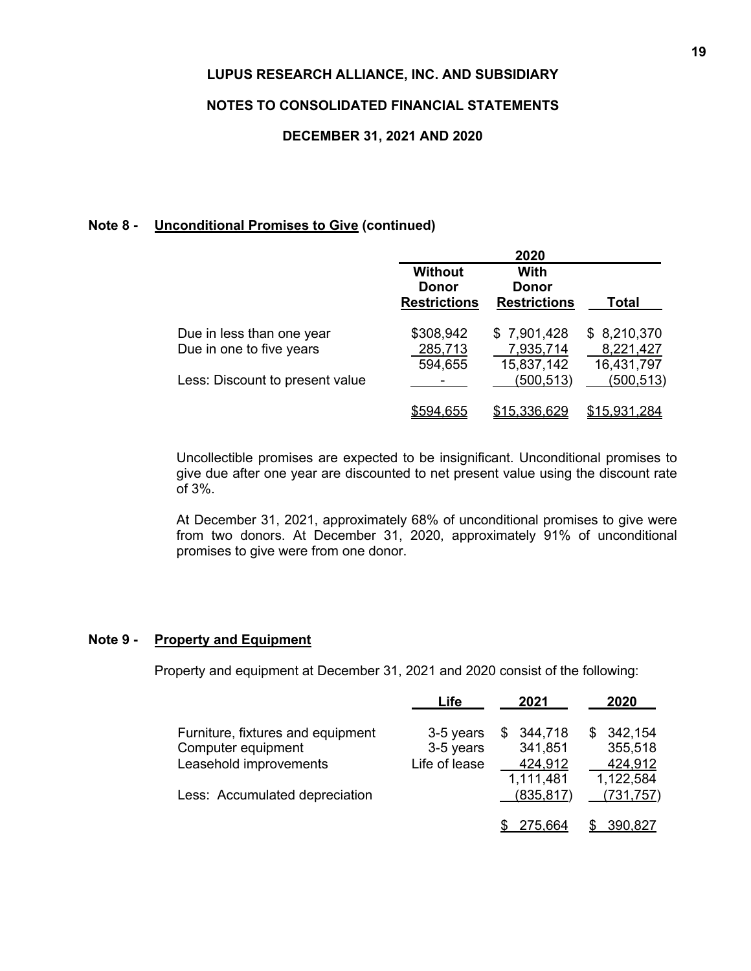# **NOTES TO CONSOLIDATED FINANCIAL STATEMENTS**

### **DECEMBER 31, 2021 AND 2020**

### **Note 8 - Unconditional Promises to Give (continued)**

|                                 |                                | 2020                |              |
|---------------------------------|--------------------------------|---------------------|--------------|
|                                 | <b>Without</b><br><b>Donor</b> | With<br>Donor       |              |
|                                 | <b>Restrictions</b>            | <b>Restrictions</b> | Total        |
| Due in less than one year       | \$308,942                      | \$7,901,428         | \$8,210,370  |
| Due in one to five years        | 285,713                        | 7,935,714           | 8,221,427    |
|                                 | 594,655                        | 15,837,142          | 16,431,797   |
| Less: Discount to present value |                                | (500, 513)          | (500, 513)   |
|                                 | 555.04                         | \$15,336,629        | \$15,931,284 |

Uncollectible promises are expected to be insignificant. Unconditional promises to give due after one year are discounted to net present value using the discount rate of 3%.

At December 31, 2021, approximately 68% of unconditional promises to give were from two donors. At December 31, 2020, approximately 91% of unconditional promises to give were from one donor.

# **Note 9 - Property and Equipment**

Property and equipment at December 31, 2021 and 2020 consist of the following:

|                                   | Life          | 2021          | 2020          |
|-----------------------------------|---------------|---------------|---------------|
| Furniture, fixtures and equipment | 3-5 years     | 344,718<br>\$ | 342,154<br>S. |
| Computer equipment                | 3-5 years     | 341,851       | 355,518       |
| Leasehold improvements            | Life of lease | 424,912       | 424,912       |
|                                   |               | 1,111,481     | 1,122,584     |
| Less: Accumulated depreciation    |               | (835, 817)    | (731, 757)    |
|                                   |               | 275,664       | 390,827       |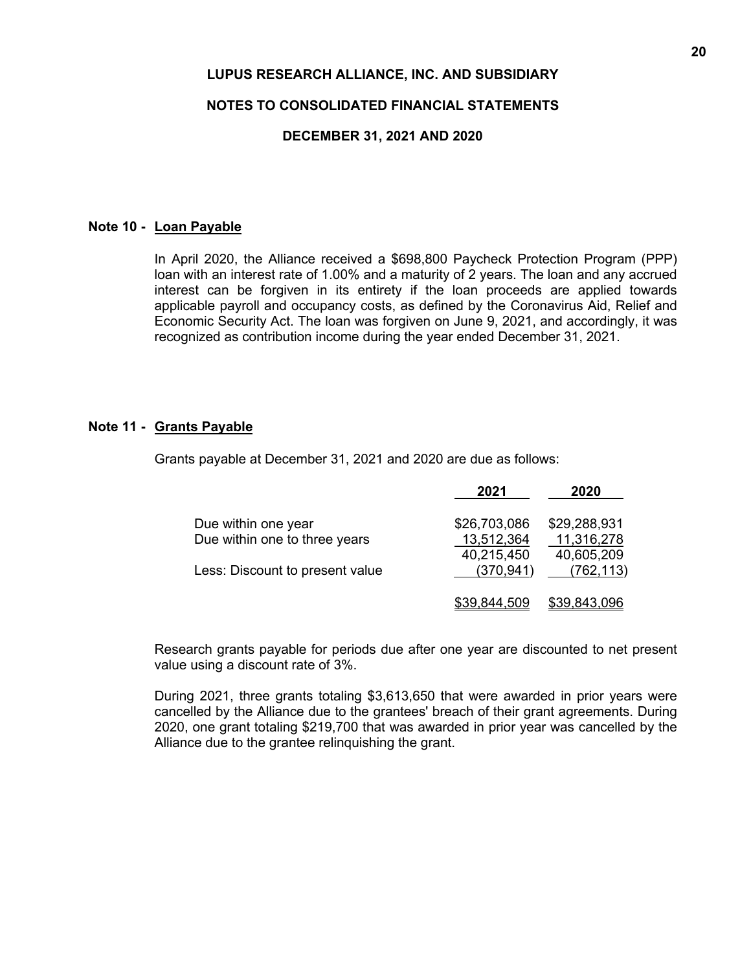### **NOTES TO CONSOLIDATED FINANCIAL STATEMENTS**

### **DECEMBER 31, 2021 AND 2020**

### **Note 10 - Loan Payable**

In April 2020, the Alliance received a \$698,800 Paycheck Protection Program (PPP) loan with an interest rate of 1.00% and a maturity of 2 years. The loan and any accrued interest can be forgiven in its entirety if the loan proceeds are applied towards applicable payroll and occupancy costs, as defined by the Coronavirus Aid, Relief and Economic Security Act. The loan was forgiven on June 9, 2021, and accordingly, it was recognized as contribution income during the year ended December 31, 2021.

### **Note 11 - Grants Payable**

Grants payable at December 31, 2021 and 2020 are due as follows:

|                                 | 2021                | 2020         |
|---------------------------------|---------------------|--------------|
| Due within one year             | \$26,703,086        | \$29,288,931 |
| Due within one to three years   | 13,512,364          | 11,316,278   |
|                                 | 40,215,450          | 40,605,209   |
| Less: Discount to present value | (370.941)           | (762, 113)   |
|                                 | <u>\$39,844,509</u> | \$39,843,096 |

Research grants payable for periods due after one year are discounted to net present value using a discount rate of 3%.

During 2021, three grants totaling \$3,613,650 that were awarded in prior years were cancelled by the Alliance due to the grantees' breach of their grant agreements. During 2020, one grant totaling \$219,700 that was awarded in prior year was cancelled by the Alliance due to the grantee relinquishing the grant.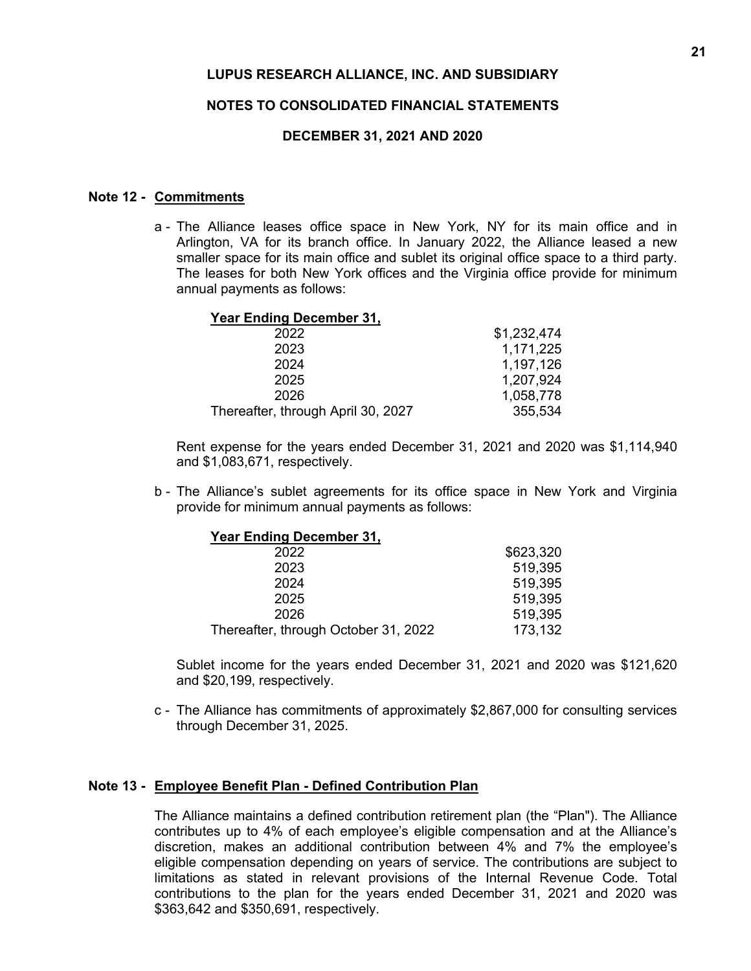### **NOTES TO CONSOLIDATED FINANCIAL STATEMENTS**

### **DECEMBER 31, 2021 AND 2020**

### **Note 12 - Commitments**

a - The Alliance leases office space in New York, NY for its main office and in Arlington, VA for its branch office. In January 2022, the Alliance leased a new smaller space for its main office and sublet its original office space to a third party. The leases for both New York offices and the Virginia office provide for minimum annual payments as follows:

### **Year Ending December 31,**

| 2022                               | \$1,232,474 |
|------------------------------------|-------------|
| 2023                               | 1,171,225   |
| 2024                               | 1,197,126   |
| 2025                               | 1,207,924   |
| 2026                               | 1,058,778   |
| Thereafter, through April 30, 2027 | 355,534     |

Rent expense for the years ended December 31, 2021 and 2020 was \$1,114,940 and \$1,083,671, respectively.

b - The Alliance's sublet agreements for its office space in New York and Virginia provide for minimum annual payments as follows:

| <b>Year Ending December 31,</b>      |           |
|--------------------------------------|-----------|
| 2022                                 | \$623,320 |
| 2023                                 | 519,395   |
| 2024                                 | 519,395   |
| 2025                                 | 519,395   |
| 2026                                 | 519,395   |
| Thereafter, through October 31, 2022 | 173,132   |

Sublet income for the years ended December 31, 2021 and 2020 was \$121,620 and \$20,199, respectively.

c - The Alliance has commitments of approximately \$2,867,000 for consulting services through December 31, 2025.

### **Note 13 - Employee Benefit Plan - Defined Contribution Plan**

The Alliance maintains a defined contribution retirement plan (the "Plan"). The Alliance contributes up to 4% of each employee's eligible compensation and at the Alliance's discretion, makes an additional contribution between 4% and 7% the employee's eligible compensation depending on years of service. The contributions are subject to limitations as stated in relevant provisions of the Internal Revenue Code. Total contributions to the plan for the years ended December 31, 2021 and 2020 was \$363,642 and \$350,691, respectively.